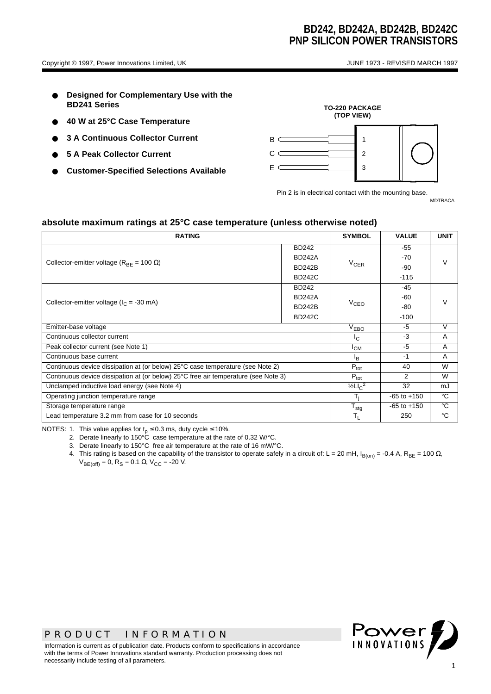- **Designed for Complementary Use with the BD241 Series**
- **40 W at 25°C Case Temperature**
- **3 A Continuous Collector Current**
- **5 A Peak Collector Current**
- **Customer-Specified Selections Available**



Pin 2 is in electrical contact with the mounting base.

MDTRACA

#### **absolute maximum ratings at 25°C case temperature (unless otherwise noted)**

| <b>RATING</b>                                                                      |               |           | <b>VALUE</b>    | <b>UNIT</b> |  |
|------------------------------------------------------------------------------------|---------------|-----------|-----------------|-------------|--|
|                                                                                    | <b>BD242</b>  |           | -55             |             |  |
| Collector-emitter voltage ( $R_{BF}$ = 100 $\Omega$ )                              | <b>BD242A</b> |           | -70             | $\vee$      |  |
|                                                                                    | <b>BD242B</b> | $V_{CER}$ | -90             |             |  |
|                                                                                    | <b>BD242C</b> |           | $-115$          |             |  |
|                                                                                    | <b>BD242</b>  |           | -45             |             |  |
| Collector-emitter voltage ( $I_C$ = -30 mA)                                        | <b>BD242A</b> |           | -60             |             |  |
|                                                                                    | <b>BD242B</b> | $V_{CEO}$ | -80             |             |  |
|                                                                                    | <b>BD242C</b> |           | $-100$          |             |  |
| Emitter-base voltage                                                               |               |           | -5              | $\vee$      |  |
| Continuous collector current                                                       |               |           | $-3$            | A           |  |
| Peak collector current (see Note 1)                                                | $I_{CM}$      | $-5$      | $\overline{A}$  |             |  |
| Continuous base current                                                            |               |           | $-1$            | A           |  |
| Continuous device dissipation at (or below) 25°C case temperature (see Note 2)     |               |           | 40              | W           |  |
| Continuous device dissipation at (or below) 25°C free air temperature (see Note 3) |               |           | 2               | W           |  |
| Unclamped inductive load energy (see Note 4)                                       |               |           | 32              | mJ          |  |
| Operating junction temperature range                                               |               |           | $-65$ to $+150$ | °C          |  |
| Storage temperature range                                                          |               |           | $-65$ to $+150$ | °C          |  |
| Lead temperature 3.2 mm from case for 10 seconds                                   |               |           | 250             | °C          |  |

NOTES: 1. This value applies for  $t_p \le 0.3$  ms, duty cycle  $\le 10\%$ .

2. Derate linearly to 150°C case temperature at the rate of 0.32 W/°C.

3. Derate linearly to 150°C free air temperature at the rate of 16 mW/°C.

4. This rating is based on the capability of the transistor to operate safely in a circuit of: L = 20 mH, I<sub>B(on)</sub> = -0.4 A, R<sub>BE</sub> = 100 Ω,  $V_{BE(off)} = 0$ , R<sub>S</sub> = 0.1 Ω, V<sub>CC</sub> = -20 V.



Information is current as of publication date. Products conform to specifications in accordance with the terms of Power Innovations standard warranty. Production processing does not necessarily include testing of all parameters.

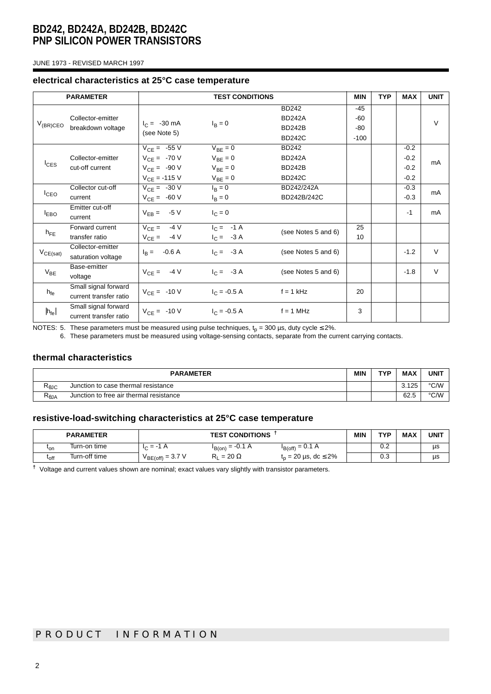JUNE 1973 - REVISED MARCH 1997

#### **electrical characteristics at 25°C case temperature**

|                                    | <b>PARAMETER</b><br><b>TEST CONDITIONS</b> |                        |                      | <b>MIN</b>          | <b>TYP</b> | <b>MAX</b> | <b>UNIT</b> |        |
|------------------------------------|--------------------------------------------|------------------------|----------------------|---------------------|------------|------------|-------------|--------|
| Collector-emitter<br>$V_{(BR)CEO}$ |                                            |                        |                      | <b>BD242</b>        | $-45$      |            |             |        |
|                                    |                                            | $I_C = -30 \text{ mA}$ | $I_{\rm B} = 0$      | <b>BD242A</b>       | $-60$      |            |             | $\vee$ |
|                                    | breakdown voltage                          | (see Note 5)           |                      | <b>BD242B</b>       | $-80$      |            |             |        |
|                                    |                                            |                        |                      | <b>BD242C</b>       | $-100$     |            |             |        |
|                                    |                                            | $V_{CF} = -55 V$       | $V_{BF} = 0$         | <b>BD242</b>        |            |            | $-0.2$      |        |
|                                    | Collector-emitter                          | $V_{CE} = -70 V$       | $V_{BE} = 0$         | <b>BD242A</b>       |            |            | $-0.2$      | mA     |
| $I_{CES}$                          | cut-off current                            | $V_{CE} = -90 V$       | $V_{BE} = 0$         | <b>BD242B</b>       |            |            | $-0.2$      |        |
|                                    |                                            | $V_{CE} = -115 V$      | $V_{BE} = 0$         | <b>BD242C</b>       |            |            | $-0.2$      |        |
|                                    | Collector cut-off                          | $V_{CE} = -30 V$       | $I_B = 0$            | BD242/242A          |            |            | $-0.3$      | mA     |
| $I_{CEO}$                          | current                                    | $V_{CE} = -60 V$       | $I_{\rm B} = 0$      | BD242B/242C         |            |            | $-0.3$      |        |
|                                    | Emitter cut-off                            | $V_{EB} = -5 V$        | $I_C = 0$            |                     |            |            | $-1$        | mA     |
| $I_{EBO}$                          | current                                    |                        |                      |                     |            |            |             |        |
| $h_{\text{FF}}$                    | Forward current                            | $V_{CE} = 4V$          | $I_C = -1 \text{ A}$ | (see Notes 5 and 6) | 25         |            |             |        |
|                                    | transfer ratio                             | $V_{CE} = -4 V$        | $I_C = -3 A$         |                     | 10         |            |             |        |
|                                    | Collector-emitter                          | $I_B = -0.6 A$         | $I_C = -3 A$         | (see Notes 5 and 6) |            |            | $-1.2$      | $\vee$ |
| $V_{CE(sat)}$                      | saturation voltage                         |                        |                      |                     |            |            |             |        |
| $V_{BE}$                           | Base-emitter                               | $V_{CE} = -4 V$        | $I_C = -3 A$         | (see Notes 5 and 6) |            |            | $-1.8$      | $\vee$ |
|                                    | voltage                                    |                        |                      |                     |            |            |             |        |
|                                    | Small signal forward                       | $V_{CE} = -10 V$       | $I_C = -0.5 A$       | $f = 1$ kHz         | 20         |            |             |        |
| $h_{fe}$                           | current transfer ratio                     |                        |                      |                     |            |            |             |        |
| $ h_{\text{fe}} $                  | Small signal forward                       | $V_{CE} = -10 V$       | $I_C = -0.5 A$       | $f = 1$ MHz         | 3          |            |             |        |
|                                    | current transfer ratio                     |                        |                      |                     |            |            |             |        |

NOTES: 5. These parameters must be measured using pulse techniques,  ${\rm t_p}$  = 300 µs, duty cycle ≤ 2%.

6. These parameters must be measured using voltage-sensing contacts, separate from the current carrying contacts.

## **thermal characteristics**

| <b>PARAMETER</b>                      |                                         |  | TVD | <b>MAX</b> | <b>UNIT</b> |
|---------------------------------------|-----------------------------------------|--|-----|------------|-------------|
| षeJC                                  | Junction to case thermal resistance     |  |     | 3.125      | °C/W        |
| $\mathsf{R}_{\boldsymbol{\theta}}$ JA | Junction to free air thermal resistance |  |     | 62.5       | °C/W        |

## **resistive-load-switching characteristics at 25°C case temperature**

|                  | <b>PARAMETER</b> | <b>TEST CONDITIONS</b>                       |                      |                                    | <b>MIN</b> | TYP | <b>MAX</b> | <b>UNIT</b> |
|------------------|------------------|----------------------------------------------|----------------------|------------------------------------|------------|-----|------------|-------------|
| <sup>t</sup> on  | Turn-on time     | $\overline{\phantom{a}}$<br>$= -1$<br>$\sim$ | $I_{B(0n)} = -0.1 A$ | $I_{B(off)} = 0.1 A$               |            | 0.2 |            | μs          |
| <sup>L</sup> off | Turn-off time    | $V_{BE(off)} = 3.7 V$                        | $= 20 \Omega$        | $t_n = 20 \,\mu s, \, dc \leq 2\%$ |            | 0.3 |            | μs          |

**†** Voltage and current values shown are nominal; exact values vary slightly with transistor parameters.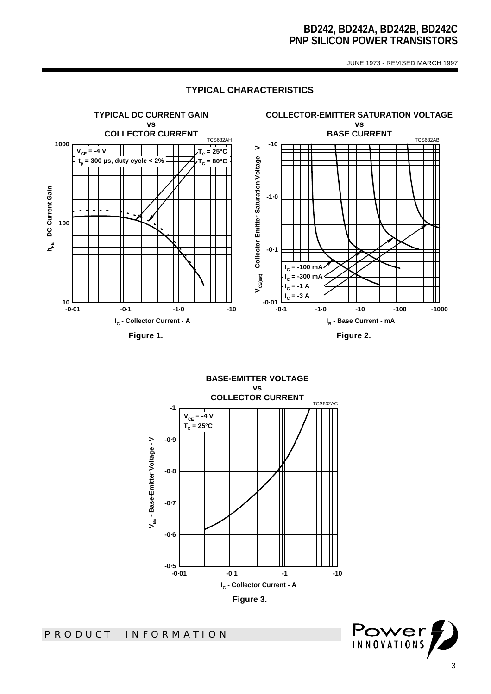JUNE 1973 - REVISED MARCH 1997

# **TYPICAL CHARACTERISTICS**



**BASE-EMITTER VOLTAGE vs COLLECTOR CURRENT** TCS632AC **-1**  $V_{CE} = -4 \text{ V}$ **TC = 25°C-0·9** V<sub>BE</sub> - Base-Emitter Voltage - V **VBE - Base-Emitter Voltage - V -0·8 -0·7 -0·6** —ا 0-5-<br>0-01-**-0·01 -0·1 -1 -10 IC - Collector Current - A Figure 3.** 

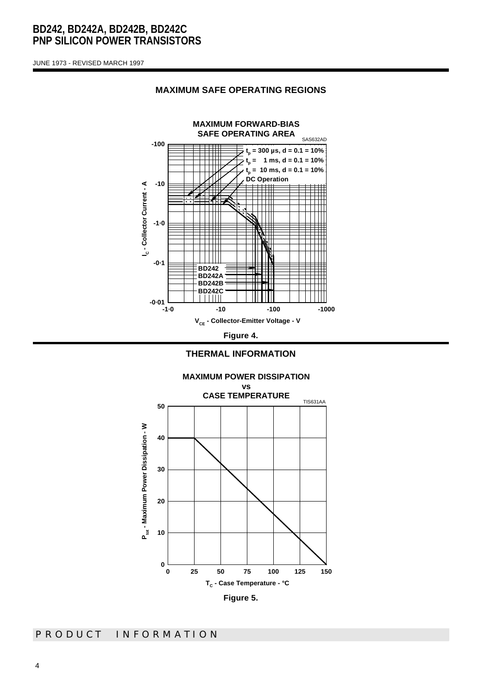JUNE 1973 - REVISED MARCH 1997



#### **MAXIMUM SAFE OPERATING REGIONS**



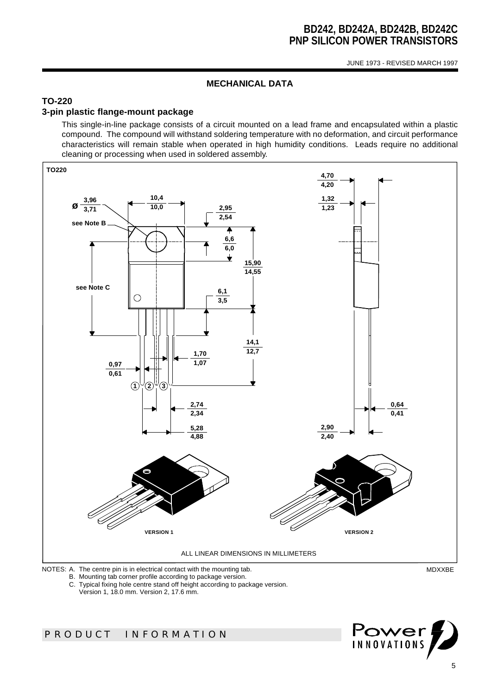JUNE 1973 - REVISED MARCH 1997

## **MECHANICAL DATA**

# **TO-220**

## **3-pin plastic flange-mount package**

This single-in-line package consists of a circuit mounted on a lead frame and encapsulated within a plastic compound. The compound will withstand soldering temperature with no deformation, and circuit performance characteristics will remain stable when operated in high humidity conditions. Leads require no additional cleaning or processing when used in soldered assembly.



B. Mounting tab corner profile according to package version.

C. Typical fixing hole centre stand off height according to package version.

Version 1, 18.0 mm. Version 2, 17.6 mm.

# *PRODUCT INFORMATION*

Power